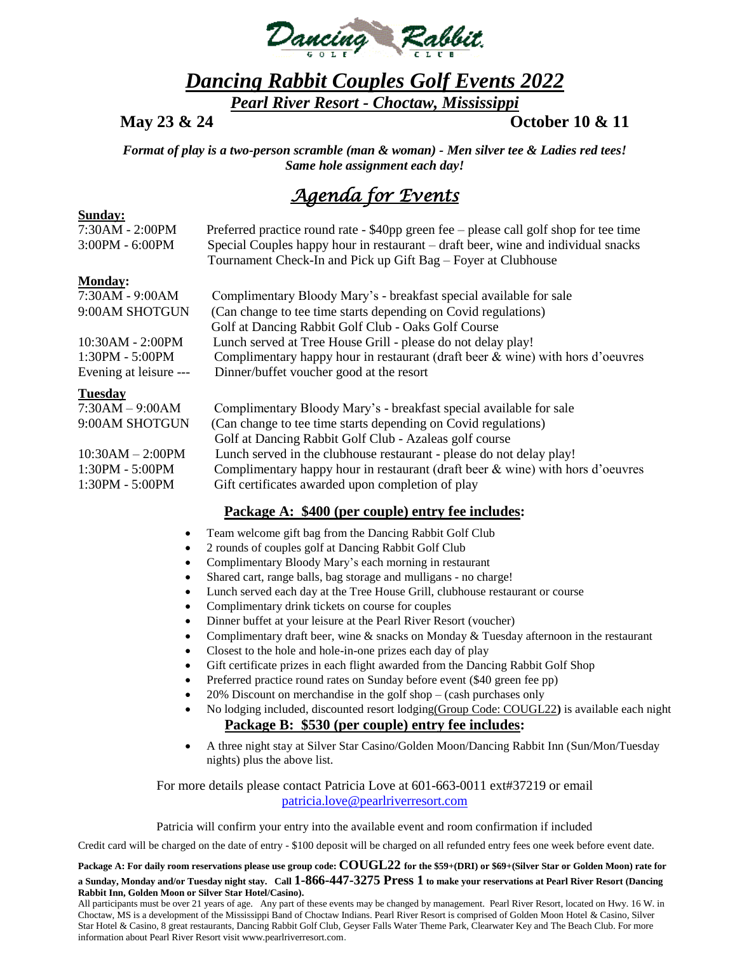

## *Dancing Rabbit Couples Golf Events 2022*

*Pearl River Resort - Choctaw, Mississippi*

**May 23 & 24 October 10 & 11**

*Format of play is a two-person scramble (man & woman) - Men silver tee & Ladies red tees! Same hole assignment each day!*

## *Agenda for Events*

#### **Sunday:**

| 7:30AM - 2:00PM<br>3:00PM - 6:00PM | Preferred practice round rate - \$40pp green fee – please call golf shop for tee time<br>Special Couples happy hour in restaurant – draft beer, wine and individual snacks<br>Tournament Check-In and Pick up Gift Bag – Foyer at Clubhouse |
|------------------------------------|---------------------------------------------------------------------------------------------------------------------------------------------------------------------------------------------------------------------------------------------|
| <b>Monday:</b><br>7:30AM - 9:00AM  | Complimentary Bloody Mary's - breakfast special available for sale                                                                                                                                                                          |

| 7:30AM - 9:00AM        | Complimentary Bloody Mary's - breakfast special available for sale                |
|------------------------|-----------------------------------------------------------------------------------|
| 9:00AM SHOTGUN         | (Can change to tee time starts depending on Covid regulations)                    |
|                        | Golf at Dancing Rabbit Golf Club - Oaks Golf Course                               |
| 10:30AM - 2:00PM       | Lunch served at Tree House Grill - please do not delay play!                      |
| 1:30PM - 5:00PM        | Complimentary happy hour in restaurant (draft beer $\&$ wine) with hors d'oeuvres |
| Evening at leisure --- | Dinner/buffet voucher good at the resort                                          |
| <b>Tuesday</b>         |                                                                                   |
| $7:30AM - 9:00AM$      | Complimentary Bloody Mary's - breakfast special available for sale                |
| 9:00AM SHOTGUN         | (Can change to tee time starts depending on Covid regulations)                    |
|                        | Golf at Dancing Rabbit Golf Club - Azaleas golf course                            |

 Golf at Dancing Rabbit Golf Club - Azaleas golf course 10:30AM – 2:00PM Lunch served in the clubhouse restaurant - please do not delay play! 1:30PM - 5:00PM Complimentary happy hour in restaurant (draft beer & wine) with hors d'oeuvres 1:30PM - 5:00PM Gift certificates awarded upon completion of play

### **Package A: \$400 (per couple) entry fee includes:**

- Team welcome gift bag from the Dancing Rabbit Golf Club
- 2 rounds of couples golf at Dancing Rabbit Golf Club
- Complimentary Bloody Mary's each morning in restaurant
- Shared cart, range balls, bag storage and mulligans no charge!
- Lunch served each day at the Tree House Grill, clubhouse restaurant or course
- Complimentary drink tickets on course for couples
- Dinner buffet at your leisure at the Pearl River Resort (voucher)
- Complimentary draft beer, wine & snacks on Monday & Tuesday afternoon in the restaurant
- Closest to the hole and hole-in-one prizes each day of play
- Gift certificate prizes in each flight awarded from the Dancing Rabbit Golf Shop
- Preferred practice round rates on Sunday before event (\$40 green fee pp)
- 20% Discount on merchandise in the golf shop (cash purchases only
- No lodging included, discounted resort lodging(Group Code: COUGL22**)** is available each night **Package B: \$530 (per couple) entry fee includes:**
- A three night stay at Silver Star Casino/Golden Moon/Dancing Rabbit Inn (Sun/Mon/Tuesday nights) plus the above list.

For more details please contact Patricia Love at 601-663-0011 ext#37219 or email [patricia.love@pearlriverresort.com](mailto:patricia.love@pearlriverresort.com)

Patricia will confirm your entry into the available event and room confirmation if included

Credit card will be charged on the date of entry - \$100 deposit will be charged on all refunded entry fees one week before event date.

#### **Package A: For daily room reservations please use group code: COUGL22 for the \$59+(DRI) or \$69+(Silver Star or Golden Moon) rate for a Sunday, Monday and/or Tuesday night stay. Call 1-866-447-3275 Press 1 to make your reservations at Pearl River Resort (Dancing Rabbit Inn, Golden Moon or Silver Star Hotel/Casino).**

All participants must be over 21 years of age. Any part of these events may be changed by management. Pearl River Resort, located on Hwy. 16 W. in Choctaw, MS is a development of the Mississippi Band of Choctaw Indians. Pearl River Resort is comprised of Golden Moon Hotel & Casino, Silver Star Hotel & Casino, 8 great restaurants, Dancing Rabbit Golf Club, Geyser Falls Water Theme Park, Clearwater Key and The Beach Club. For more information about Pearl River Resort visit www.pearlriverresort.com.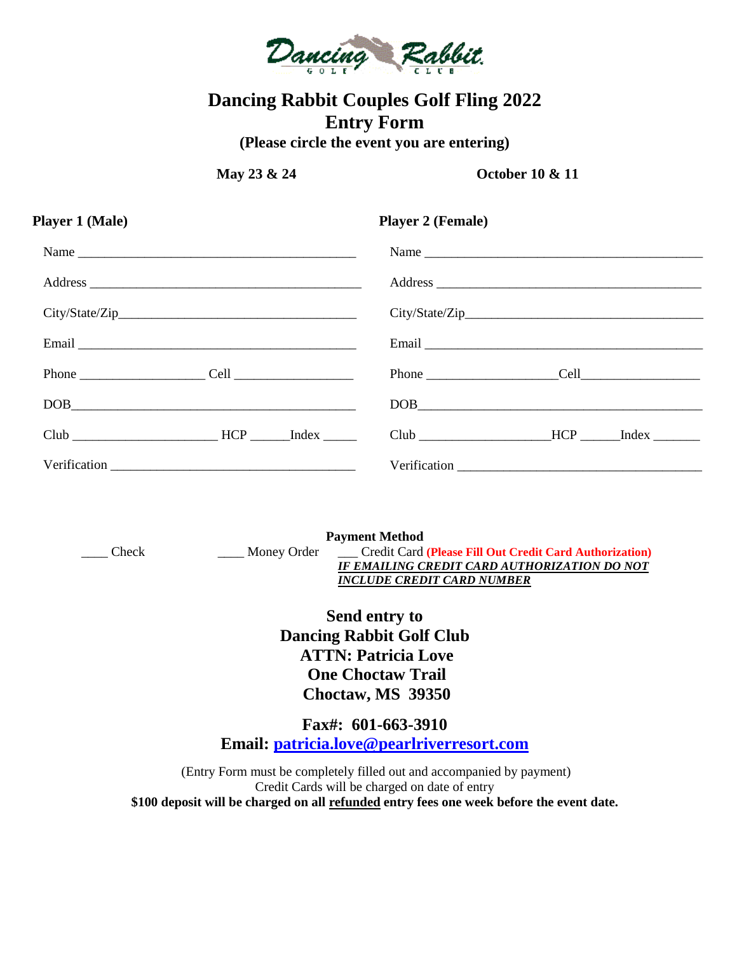

# **Dancing Rabbit Couples Golf Fling 2022 Entry Form**

**(Please circle the event you are entering)**

**May 23 & 24 October 10 & 11**

| Player 1 (Male)                                   | <b>Player 2 (Female)</b>                            |  |
|---------------------------------------------------|-----------------------------------------------------|--|
|                                                   | Name                                                |  |
|                                                   |                                                     |  |
|                                                   |                                                     |  |
|                                                   |                                                     |  |
| Phone $\begin{array}{c} \text{Phone} \end{array}$ | Phone $\begin{array}{c} \text{Phone} \end{array}$   |  |
| $\boxed{\text{DOB}}_{\text{max}}$                 | $\boxed{\text{DOB}}_{\text{max}}$                   |  |
| $Club$ $HCP$ $Index$ $I$                          | Club _____________________HCP _______Index ________ |  |
|                                                   |                                                     |  |

**Payment Method** \_\_\_\_ Check \_\_\_\_ Money Order \_\_\_ Credit Card **(Please Fill Out Credit Card Authorization)** *IF EMAILING CREDIT CARD AUTHORIZATION DO NOT INCLUDE CREDIT CARD NUMBER*

> **Send entry to Dancing Rabbit Golf Club ATTN: Patricia Love One Choctaw Trail Choctaw, MS 39350**

**Fax#: 601-663-3910 Email: [patricia.love@pearlriverresort.com](mailto:patricia.love@pearlriverresort.com)**

(Entry Form must be completely filled out and accompanied by payment) Credit Cards will be charged on date of entry **\$100 deposit will be charged on all refunded entry fees one week before the event date.**